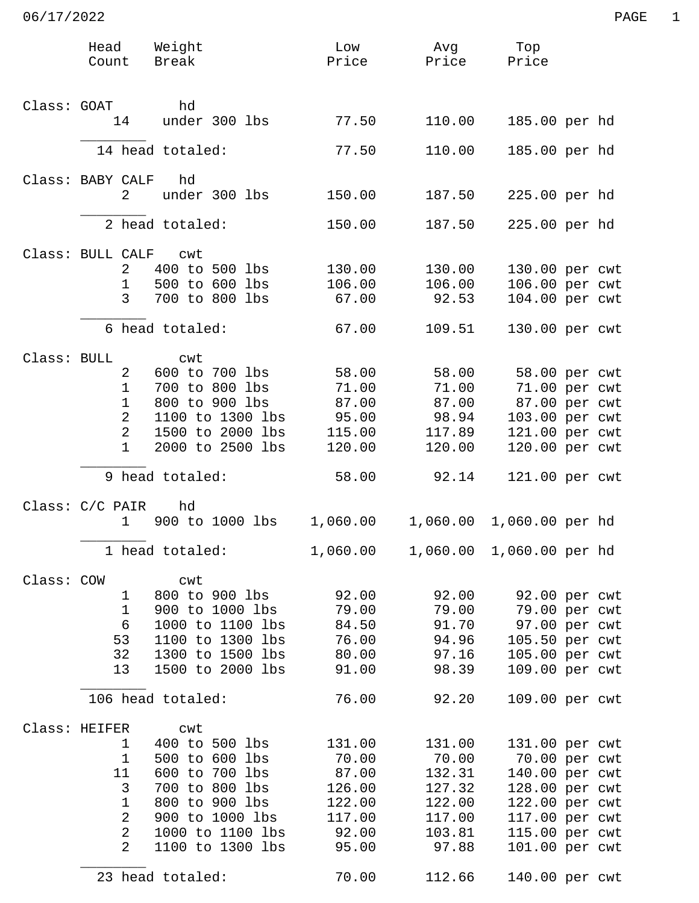|             | Head<br>Count                    | Weight<br>Break                      | Low<br>Price     | Avg<br>Price             | Тор<br>Price                     |  |
|-------------|----------------------------------|--------------------------------------|------------------|--------------------------|----------------------------------|--|
|             |                                  |                                      |                  |                          |                                  |  |
| Class: GOAT |                                  | hd                                   |                  |                          |                                  |  |
|             | 14                               | under 300 lbs                        | 77.50            | 110.00                   | 185.00 per hd                    |  |
|             |                                  | 14 head totaled:                     | 77.50            | 110.00                   | 185.00 per hd                    |  |
|             | Class: BABY CALF                 | hd                                   |                  |                          |                                  |  |
|             | 2                                | under 300 lbs                        | 150.00           | 187.50                   | 225.00 per hd                    |  |
|             |                                  | 2 head totaled:                      | 150.00           | 187.50                   | 225.00 per hd                    |  |
|             | Class: BULL CALF cwt             |                                      |                  |                          |                                  |  |
|             | 2<br>$\mathbf{1}$                | 400 to 500 lbs<br>500 to 600 lbs     | 130.00<br>106.00 | 130.00<br>106.00         | 130.00 per cwt<br>106.00 per cwt |  |
|             | $\mathsf{3}$                     | 700 to 800 lbs                       | 67.00            | 92.53                    | 104.00 per cwt                   |  |
|             |                                  | 6 head totaled:                      | 67.00            | 109.51                   | 130.00 per cwt                   |  |
| Class: BULL |                                  | cwt                                  |                  |                          |                                  |  |
|             | 2                                | 600 to 700 lbs                       | 58.00            | 58.00                    | 58.00 per cwt                    |  |
|             | $\mathbf{1}$                     | 700 to 800 lbs                       | 71.00            | 71.00                    | 71.00 per cwt                    |  |
|             | $\mathbf 1$                      | 800 to 900 lbs                       | 87.00            | 87.00                    | 87.00 per cwt                    |  |
|             | $\overline{2}$                   | 1100 to 1300 lbs                     | 95.00            | 98.94                    | 103.00 per cwt                   |  |
|             | 2                                | 1500 to 2000 lbs                     | 115.00           | 117.89                   | 121.00 per cwt                   |  |
|             | $\mathbf 1$                      | 2000 to 2500 lbs                     | 120.00           | 120.00                   | 120.00 per cwt                   |  |
|             |                                  | 9 head totaled:                      | 58.00            | 92.14                    | 121.00 per cwt                   |  |
|             | Class: C/C PAIR<br>$\mathbf{1}$  | hd<br>900 to 1000 lbs                | 1,060.00         | 1,060.00                 | 1,060.00 per hd                  |  |
|             |                                  |                                      |                  |                          |                                  |  |
|             |                                  | 1 head totaled:                      | 1,060.00         | 1,060.00 1,060.00 per hd |                                  |  |
| Class: COW  |                                  | cwt                                  |                  |                          |                                  |  |
|             | 1<br>$\mathbf{1}$                | 800 to 900 lbs                       | 92.00            | 92.00                    | 92.00 per cwt                    |  |
|             | 6                                | 900 to 1000 lbs<br>1000 to 1100 lbs  | 79.00<br>84.50   | 79.00<br>91.70           | 79.00 per cwt<br>97.00 per cwt   |  |
|             | 53                               | 1100 to 1300 lbs                     | 76.00            | 94.96                    | 105.50 per cwt                   |  |
|             | 32                               | 1300 to 1500 lbs                     | 80.00            | 97.16                    | 105.00 per cwt                   |  |
|             | 13                               | 1500 to 2000 lbs                     | 91.00            | 98.39                    | 109.00 per cwt                   |  |
|             |                                  | 106 head totaled:                    | 76.00            | 92.20                    | 109.00 per cwt                   |  |
|             | Class: HEIFER                    | cwt                                  |                  |                          |                                  |  |
|             | $\mathbf{1}$                     | 400 to 500 lbs                       | 131.00           | 131.00                   | 131.00 per cwt                   |  |
|             | $\mathbf{1}$                     | 500 to 600 lbs                       | 70.00            | 70.00                    | 70.00 per cwt                    |  |
|             | 11                               | 600 to 700 lbs                       | 87.00            | 132.31                   | 140.00 per cwt                   |  |
|             | 3                                | 700 to 800 lbs                       | 126.00           | 127.32                   | 128.00 per cwt                   |  |
|             | $\mathbf{1}$                     | 800 to 900 lbs                       | 122.00           | 122.00                   | 122.00 per cwt                   |  |
|             | 2                                | 900 to 1000 lbs                      | 117.00           | 117.00                   | 117.00 per cwt                   |  |
|             | $\overline{a}$<br>$\overline{2}$ | 1000 to 1100 lbs<br>1100 to 1300 lbs | 92.00<br>95.00   | 103.81<br>97.88          | 115.00 per cwt<br>101.00 per cwt |  |
|             |                                  | 23 head totaled:                     | 70.00            | 112.66                   | 140.00 per cwt                   |  |
|             |                                  |                                      |                  |                          |                                  |  |